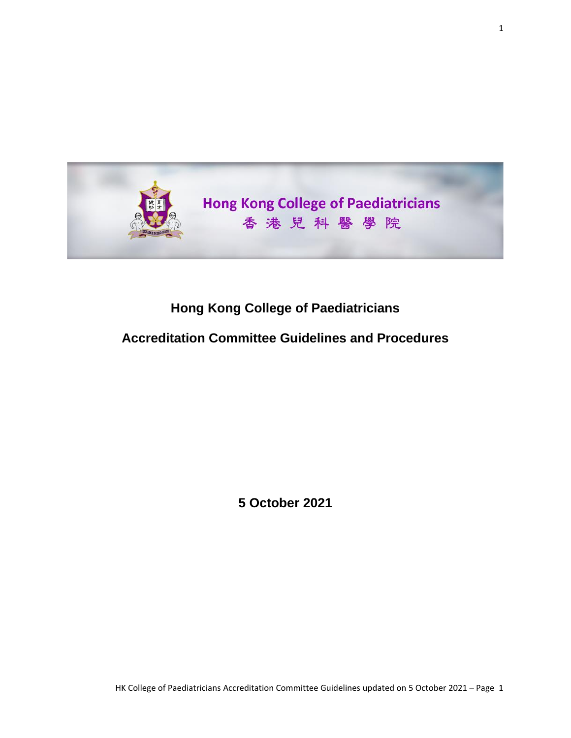

# **Hong Kong College of Paediatricians**

### **Accreditation Committee Guidelines and Procedures**

**5 October 2021**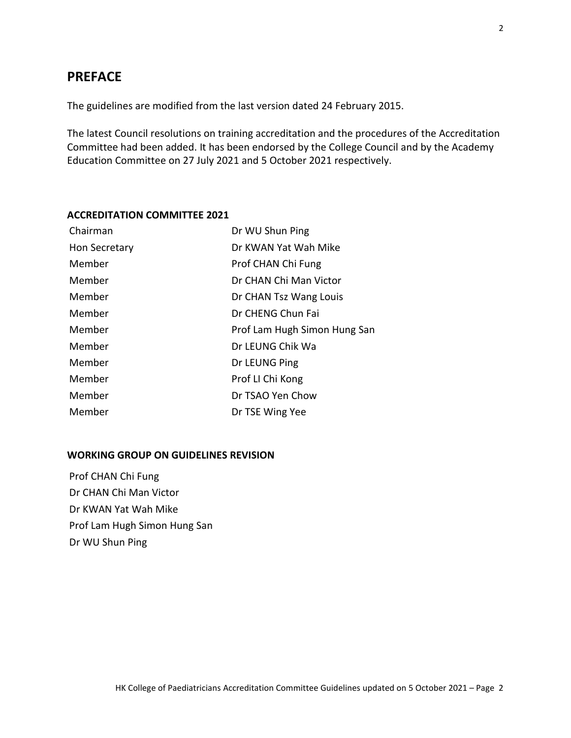### **PREFACE**

The guidelines are modified from the last version dated 24 February 2015.

The latest Council resolutions on training accreditation and the procedures of the Accreditation Committee had been added. It has been endorsed by the College Council and by the Academy Education Committee on 27 July 2021 and 5 October 2021 respectively.

### **ACCREDITATION COMMITTEE 2021**

| Chairman      | Dr WU Shun Ping              |
|---------------|------------------------------|
| Hon Secretary | Dr KWAN Yat Wah Mike         |
| Member        | Prof CHAN Chi Fung           |
| Member        | Dr CHAN Chi Man Victor       |
| Member        | Dr CHAN Tsz Wang Louis       |
| Member        | Dr CHENG Chun Fai            |
| Member        | Prof Lam Hugh Simon Hung San |
| Member        | Dr LEUNG Chik Wa             |
| Member        | Dr LEUNG Ping                |
| Member        | Prof LI Chi Kong             |
| Member        | Dr TSAO Yen Chow             |
| Member        | Dr TSE Wing Yee              |

#### **WORKING GROUP ON GUIDELINES REVISION**

Prof CHAN Chi Fung Dr CHAN Chi Man Victor Dr KWAN Yat Wah Mike Prof Lam Hugh Simon Hung San Dr WU Shun Ping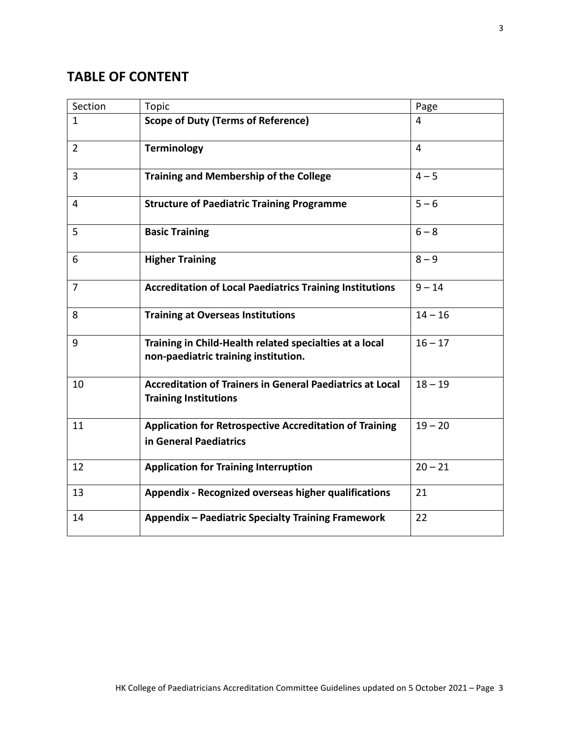## **TABLE OF CONTENT**

| Section        | <b>Topic</b>                                                                                     | Page           |
|----------------|--------------------------------------------------------------------------------------------------|----------------|
| $\mathbf{1}$   | <b>Scope of Duty (Terms of Reference)</b>                                                        | 4              |
| $\overline{2}$ | <b>Terminology</b>                                                                               | $\overline{4}$ |
| $\overline{3}$ | <b>Training and Membership of the College</b>                                                    | $4 - 5$        |
| 4              | <b>Structure of Paediatric Training Programme</b>                                                | $5 - 6$        |
| 5              | <b>Basic Training</b>                                                                            | $6 - 8$        |
| 6              | <b>Higher Training</b>                                                                           | $8 - 9$        |
| $\overline{7}$ | <b>Accreditation of Local Paediatrics Training Institutions</b>                                  | $9 - 14$       |
| 8              | <b>Training at Overseas Institutions</b>                                                         | $14 - 16$      |
| 9              | Training in Child-Health related specialties at a local<br>non-paediatric training institution.  | $16 - 17$      |
| 10             | <b>Accreditation of Trainers in General Paediatrics at Local</b><br><b>Training Institutions</b> | $18 - 19$      |
| 11             | <b>Application for Retrospective Accreditation of Training</b><br>in General Paediatrics         | $19 - 20$      |
| 12             | <b>Application for Training Interruption</b>                                                     | $20 - 21$      |
| 13             | <b>Appendix - Recognized overseas higher qualifications</b>                                      | 21             |
| 14             | <b>Appendix - Paediatric Specialty Training Framework</b>                                        | 22             |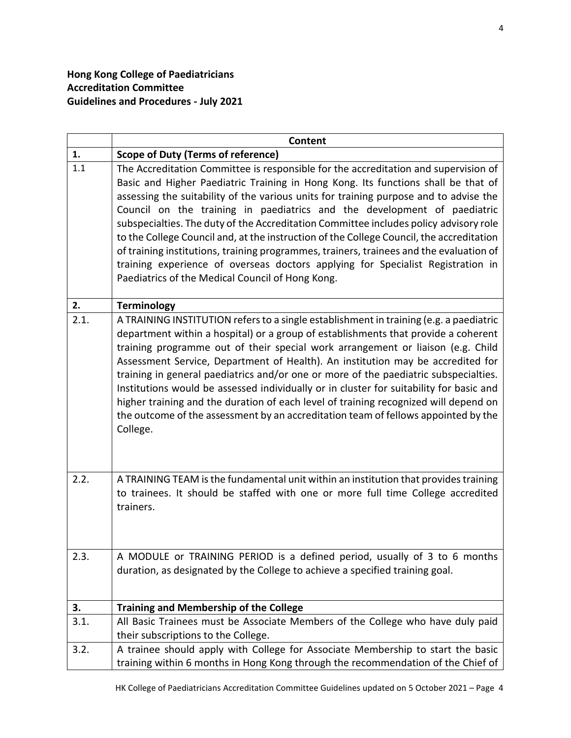|      | <b>Content</b>                                                                                                                                                                                                                                                                                                                                                                                                                                                                                                                                                                                                                                                                                                                                                       |
|------|----------------------------------------------------------------------------------------------------------------------------------------------------------------------------------------------------------------------------------------------------------------------------------------------------------------------------------------------------------------------------------------------------------------------------------------------------------------------------------------------------------------------------------------------------------------------------------------------------------------------------------------------------------------------------------------------------------------------------------------------------------------------|
| 1.   | <b>Scope of Duty (Terms of reference)</b>                                                                                                                                                                                                                                                                                                                                                                                                                                                                                                                                                                                                                                                                                                                            |
| 1.1  | The Accreditation Committee is responsible for the accreditation and supervision of<br>Basic and Higher Paediatric Training in Hong Kong. Its functions shall be that of<br>assessing the suitability of the various units for training purpose and to advise the<br>Council on the training in paediatrics and the development of paediatric<br>subspecialties. The duty of the Accreditation Committee includes policy advisory role<br>to the College Council and, at the instruction of the College Council, the accreditation<br>of training institutions, training programmes, trainers, trainees and the evaluation of<br>training experience of overseas doctors applying for Specialist Registration in<br>Paediatrics of the Medical Council of Hong Kong. |
| 2.   | <b>Terminology</b>                                                                                                                                                                                                                                                                                                                                                                                                                                                                                                                                                                                                                                                                                                                                                   |
| 2.1. | A TRAINING INSTITUTION refers to a single establishment in training (e.g. a paediatric<br>department within a hospital) or a group of establishments that provide a coherent<br>training programme out of their special work arrangement or liaison (e.g. Child<br>Assessment Service, Department of Health). An institution may be accredited for<br>training in general paediatrics and/or one or more of the paediatric subspecialties.<br>Institutions would be assessed individually or in cluster for suitability for basic and<br>higher training and the duration of each level of training recognized will depend on<br>the outcome of the assessment by an accreditation team of fellows appointed by the<br>College.                                      |
| 2.2. | A TRAINING TEAM is the fundamental unit within an institution that provides training<br>to trainees. It should be staffed with one or more full time College accredited<br>trainers.                                                                                                                                                                                                                                                                                                                                                                                                                                                                                                                                                                                 |
| 2.3. | A MODULE or TRAINING PERIOD is a defined period, usually of 3 to 6 months<br>duration, as designated by the College to achieve a specified training goal.                                                                                                                                                                                                                                                                                                                                                                                                                                                                                                                                                                                                            |
| 3.   | <b>Training and Membership of the College</b>                                                                                                                                                                                                                                                                                                                                                                                                                                                                                                                                                                                                                                                                                                                        |
| 3.1. | All Basic Trainees must be Associate Members of the College who have duly paid<br>their subscriptions to the College.                                                                                                                                                                                                                                                                                                                                                                                                                                                                                                                                                                                                                                                |
| 3.2. | A trainee should apply with College for Associate Membership to start the basic<br>training within 6 months in Hong Kong through the recommendation of the Chief of                                                                                                                                                                                                                                                                                                                                                                                                                                                                                                                                                                                                  |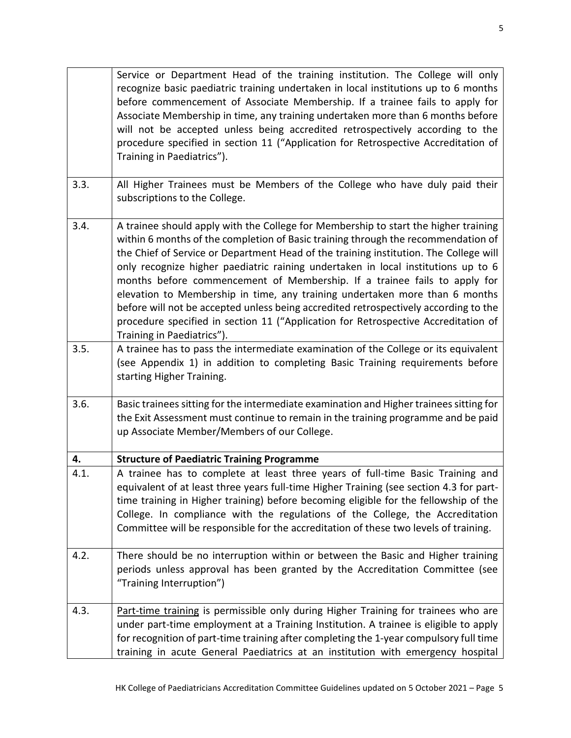Service or Department Head of the training institution. The College will only recognize basic paediatric training undertaken in local institutions up to 6 months before commencement of Associate Membership. If a trainee fails to apply for Associate Membership in time, any training undertaken more than 6 months before will not be accepted unless being accredited retrospectively according to the procedure specified in section 11 ("Application for Retrospective Accreditation of Training in Paediatrics"). 3.3.  $\parallel$  All Higher Trainees must be Members of the College who have duly paid their subscriptions to the College. 3.4.  $\vert$  A trainee should apply with the College for Membership to start the higher training within 6 months of the completion of Basic training through the recommendation of the Chief of Service or Department Head of the training institution. The College will only recognize higher paediatric raining undertaken in local institutions up to 6 months before commencement of Membership. If a trainee fails to apply for elevation to Membership in time, any training undertaken more than 6 months before will not be accepted unless being accredited retrospectively according to the procedure specified in section 11 ("Application for Retrospective Accreditation of Training in Paediatrics"). 3.5.  $\Box$  A trainee has to pass the intermediate examination of the College or its equivalent (see Appendix 1) in addition to completing Basic Training requirements before starting Higher Training. 3.6. Same Sasic trainees sitting for the intermediate examination and Higher trainees sitting for the Exit Assessment must continue to remain in the training programme and be paid up Associate Member/Members of our College. **4. Structure of Paediatric Training Programme** 4.1.  $\parallel$  A trainee has to complete at least three years of full-time Basic Training and equivalent of at least three years full-time Higher Training (see section 4.3 for parttime training in Higher training) before becoming eligible for the fellowship of the College. In compliance with the regulations of the College, the Accreditation Committee will be responsible for the accreditation of these two levels of training. 4.2.  $\Box$  There should be no interruption within or between the Basic and Higher training periods unless approval has been granted by the Accreditation Committee (see "Training Interruption") 4.3. Part-time training is permissible only during Higher Training for trainees who are under part-time employment at a Training Institution. A trainee is eligible to apply for recognition of part-time training after completing the 1-year compulsory full time training in acute General Paediatrics at an institution with emergency hospital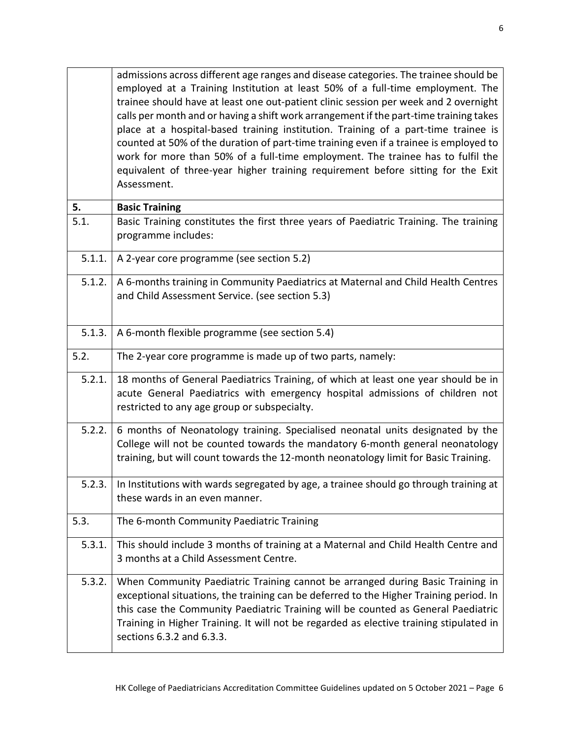|        | admissions across different age ranges and disease categories. The trainee should be<br>employed at a Training Institution at least 50% of a full-time employment. The<br>trainee should have at least one out-patient clinic session per week and 2 overnight<br>calls per month and or having a shift work arrangement if the part-time training takes<br>place at a hospital-based training institution. Training of a part-time trainee is<br>counted at 50% of the duration of part-time training even if a trainee is employed to<br>work for more than 50% of a full-time employment. The trainee has to fulfil the<br>equivalent of three-year higher training requirement before sitting for the Exit<br>Assessment. |
|--------|-------------------------------------------------------------------------------------------------------------------------------------------------------------------------------------------------------------------------------------------------------------------------------------------------------------------------------------------------------------------------------------------------------------------------------------------------------------------------------------------------------------------------------------------------------------------------------------------------------------------------------------------------------------------------------------------------------------------------------|
| 5.     | <b>Basic Training</b>                                                                                                                                                                                                                                                                                                                                                                                                                                                                                                                                                                                                                                                                                                         |
| 5.1.   | Basic Training constitutes the first three years of Paediatric Training. The training<br>programme includes:                                                                                                                                                                                                                                                                                                                                                                                                                                                                                                                                                                                                                  |
| 5.1.1. | A 2-year core programme (see section 5.2)                                                                                                                                                                                                                                                                                                                                                                                                                                                                                                                                                                                                                                                                                     |
| 5.1.2. | A 6-months training in Community Paediatrics at Maternal and Child Health Centres<br>and Child Assessment Service. (see section 5.3)                                                                                                                                                                                                                                                                                                                                                                                                                                                                                                                                                                                          |
| 5.1.3. | A 6-month flexible programme (see section 5.4)                                                                                                                                                                                                                                                                                                                                                                                                                                                                                                                                                                                                                                                                                |
| 5.2.   | The 2-year core programme is made up of two parts, namely:                                                                                                                                                                                                                                                                                                                                                                                                                                                                                                                                                                                                                                                                    |
| 5.2.1. | 18 months of General Paediatrics Training, of which at least one year should be in<br>acute General Paediatrics with emergency hospital admissions of children not<br>restricted to any age group or subspecialty.                                                                                                                                                                                                                                                                                                                                                                                                                                                                                                            |
| 5.2.2. | 6 months of Neonatology training. Specialised neonatal units designated by the<br>College will not be counted towards the mandatory 6-month general neonatology<br>training, but will count towards the 12-month neonatology limit for Basic Training.                                                                                                                                                                                                                                                                                                                                                                                                                                                                        |
| 5.2.3. | In Institutions with wards segregated by age, a trainee should go through training at<br>these wards in an even manner.                                                                                                                                                                                                                                                                                                                                                                                                                                                                                                                                                                                                       |
| 5.3.   | The 6-month Community Paediatric Training                                                                                                                                                                                                                                                                                                                                                                                                                                                                                                                                                                                                                                                                                     |
| 5.3.1. | This should include 3 months of training at a Maternal and Child Health Centre and<br>3 months at a Child Assessment Centre.                                                                                                                                                                                                                                                                                                                                                                                                                                                                                                                                                                                                  |
| 5.3.2. | When Community Paediatric Training cannot be arranged during Basic Training in<br>exceptional situations, the training can be deferred to the Higher Training period. In<br>this case the Community Paediatric Training will be counted as General Paediatric<br>Training in Higher Training. It will not be regarded as elective training stipulated in<br>sections 6.3.2 and 6.3.3.                                                                                                                                                                                                                                                                                                                                         |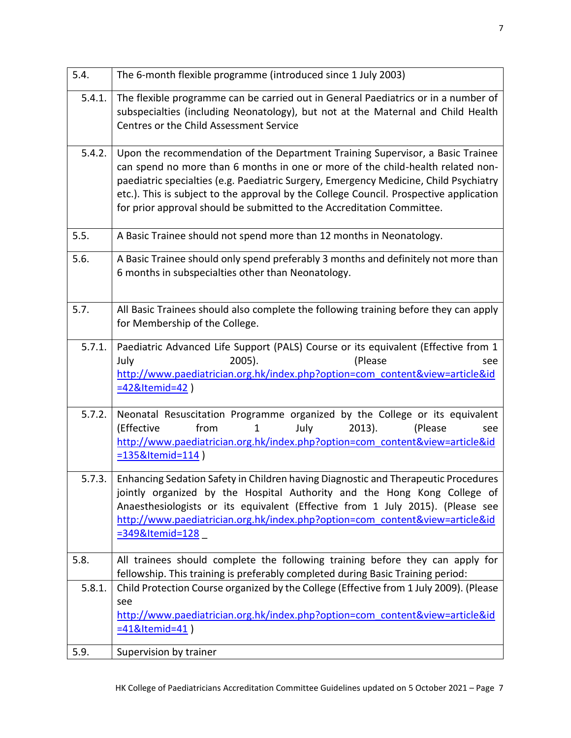| 5.4.   | The 6-month flexible programme (introduced since 1 July 2003)                                                                                                                                                                                                                                                                                                                                                                  |
|--------|--------------------------------------------------------------------------------------------------------------------------------------------------------------------------------------------------------------------------------------------------------------------------------------------------------------------------------------------------------------------------------------------------------------------------------|
| 5.4.1. | The flexible programme can be carried out in General Paediatrics or in a number of<br>subspecialties (including Neonatology), but not at the Maternal and Child Health<br>Centres or the Child Assessment Service                                                                                                                                                                                                              |
| 5.4.2. | Upon the recommendation of the Department Training Supervisor, a Basic Trainee<br>can spend no more than 6 months in one or more of the child-health related non-<br>paediatric specialties (e.g. Paediatric Surgery, Emergency Medicine, Child Psychiatry<br>etc.). This is subject to the approval by the College Council. Prospective application<br>for prior approval should be submitted to the Accreditation Committee. |
| 5.5.   | A Basic Trainee should not spend more than 12 months in Neonatology.                                                                                                                                                                                                                                                                                                                                                           |
| 5.6.   | A Basic Trainee should only spend preferably 3 months and definitely not more than<br>6 months in subspecialties other than Neonatology.                                                                                                                                                                                                                                                                                       |
| 5.7.   | All Basic Trainees should also complete the following training before they can apply<br>for Membership of the College.                                                                                                                                                                                                                                                                                                         |
| 5.7.1. | Paediatric Advanced Life Support (PALS) Course or its equivalent (Effective from 1<br>(Please<br>July<br>$2005$ ).<br>see<br>http://www.paediatrician.org.hk/index.php?option=com_content&view=article&id<br>=42&Itemid=42)                                                                                                                                                                                                    |
| 5.7.2. | Neonatal Resuscitation Programme organized by the College or its equivalent<br>$2013$ ).<br>(Effective<br>from<br>$\mathbf{1}$<br>July<br>(Please<br>see<br>http://www.paediatrician.org.hk/index.php?option=com content&view=article&id<br>$= 135$ &Itemid=114)                                                                                                                                                               |
| 5.7.3. | Enhancing Sedation Safety in Children having Diagnostic and Therapeutic Procedures<br>jointly organized by the Hospital Authority and the Hong Kong College of<br>Anaesthesiologists or its equivalent (Effective from 1 July 2015). (Please see<br>http://www.paediatrician.org.hk/index.php?option=com content&view=article&id<br>=349&Itemid=128                                                                            |
| 5.8.   | All trainees should complete the following training before they can apply for<br>fellowship. This training is preferably completed during Basic Training period:                                                                                                                                                                                                                                                               |
| 5.8.1. | Child Protection Course organized by the College (Effective from 1 July 2009). (Please<br>see<br>http://www.paediatrician.org.hk/index.php?option=com_content&view=article&id<br>=41&Itemid=41)                                                                                                                                                                                                                                |
| 5.9.   | Supervision by trainer                                                                                                                                                                                                                                                                                                                                                                                                         |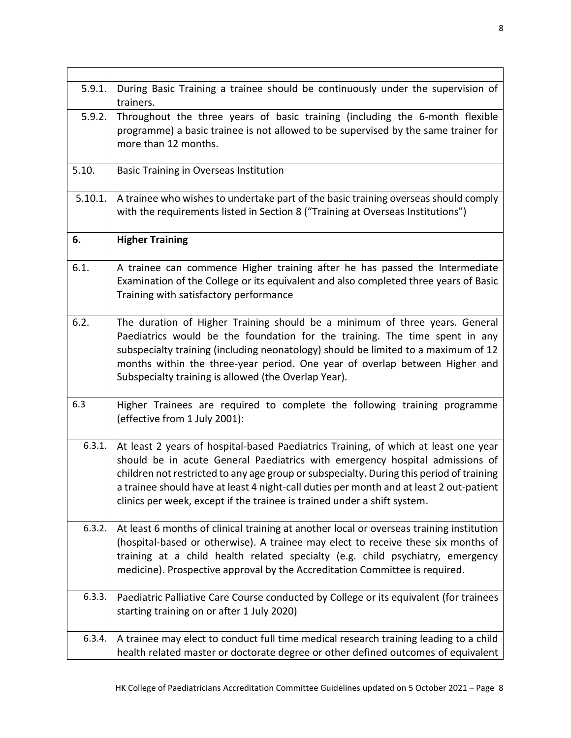| 5.9.1.  | During Basic Training a trainee should be continuously under the supervision of<br>trainers.                                                                                                                                                                                                                                                                                                                                           |
|---------|----------------------------------------------------------------------------------------------------------------------------------------------------------------------------------------------------------------------------------------------------------------------------------------------------------------------------------------------------------------------------------------------------------------------------------------|
| 5.9.2.  | Throughout the three years of basic training (including the 6-month flexible<br>programme) a basic trainee is not allowed to be supervised by the same trainer for<br>more than 12 months.                                                                                                                                                                                                                                             |
| 5.10.   | Basic Training in Overseas Institution                                                                                                                                                                                                                                                                                                                                                                                                 |
| 5.10.1. | A trainee who wishes to undertake part of the basic training overseas should comply<br>with the requirements listed in Section 8 ("Training at Overseas Institutions")                                                                                                                                                                                                                                                                 |
| 6.      | <b>Higher Training</b>                                                                                                                                                                                                                                                                                                                                                                                                                 |
| 6.1.    | A trainee can commence Higher training after he has passed the Intermediate<br>Examination of the College or its equivalent and also completed three years of Basic<br>Training with satisfactory performance                                                                                                                                                                                                                          |
| 6.2.    | The duration of Higher Training should be a minimum of three years. General<br>Paediatrics would be the foundation for the training. The time spent in any<br>subspecialty training (including neonatology) should be limited to a maximum of 12<br>months within the three-year period. One year of overlap between Higher and<br>Subspecialty training is allowed (the Overlap Year).                                                |
| 6.3     | Higher Trainees are required to complete the following training programme<br>(effective from 1 July 2001):                                                                                                                                                                                                                                                                                                                             |
| 6.3.1.  | At least 2 years of hospital-based Paediatrics Training, of which at least one year<br>should be in acute General Paediatrics with emergency hospital admissions of<br>children not restricted to any age group or subspecialty. During this period of training<br>a trainee should have at least 4 night-call duties per month and at least 2 out-patient<br>clinics per week, except if the trainee is trained under a shift system. |
| 6.3.2.  | At least 6 months of clinical training at another local or overseas training institution<br>(hospital-based or otherwise). A trainee may elect to receive these six months of<br>training at a child health related specialty (e.g. child psychiatry, emergency<br>medicine). Prospective approval by the Accreditation Committee is required.                                                                                         |
| 6.3.3.  | Paediatric Palliative Care Course conducted by College or its equivalent (for trainees<br>starting training on or after 1 July 2020)                                                                                                                                                                                                                                                                                                   |
| 6.3.4.  | A trainee may elect to conduct full time medical research training leading to a child<br>health related master or doctorate degree or other defined outcomes of equivalent                                                                                                                                                                                                                                                             |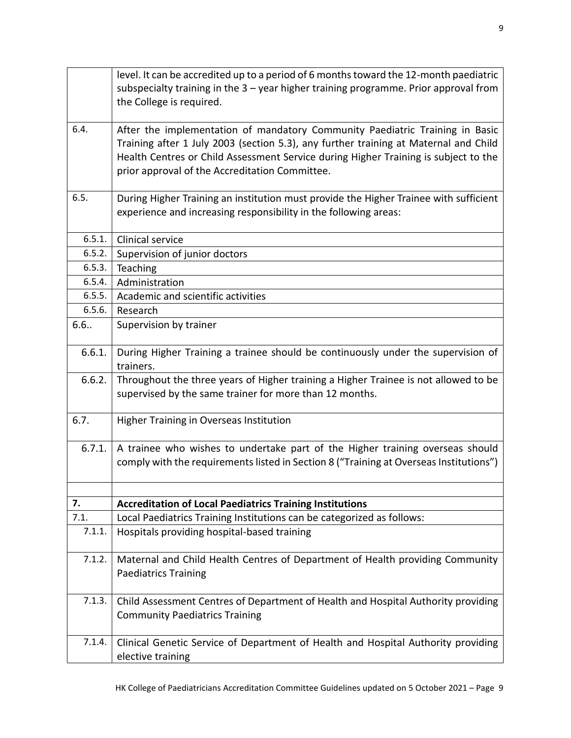|        | level. It can be accredited up to a period of 6 months toward the 12-month paediatric<br>subspecialty training in the $3$ – year higher training programme. Prior approval from<br>the College is required.                                                                                                   |
|--------|---------------------------------------------------------------------------------------------------------------------------------------------------------------------------------------------------------------------------------------------------------------------------------------------------------------|
| 6.4.   | After the implementation of mandatory Community Paediatric Training in Basic<br>Training after 1 July 2003 (section 5.3), any further training at Maternal and Child<br>Health Centres or Child Assessment Service during Higher Training is subject to the<br>prior approval of the Accreditation Committee. |
| 6.5.   | During Higher Training an institution must provide the Higher Trainee with sufficient<br>experience and increasing responsibility in the following areas:                                                                                                                                                     |
| 6.5.1. | Clinical service                                                                                                                                                                                                                                                                                              |
| 6.5.2. | Supervision of junior doctors                                                                                                                                                                                                                                                                                 |
| 6.5.3. | Teaching                                                                                                                                                                                                                                                                                                      |
| 6.5.4. | Administration                                                                                                                                                                                                                                                                                                |
| 6.5.5. | Academic and scientific activities                                                                                                                                                                                                                                                                            |
| 6.5.6. | Research                                                                                                                                                                                                                                                                                                      |
| 6.6.   | Supervision by trainer                                                                                                                                                                                                                                                                                        |
| 6.6.1. | During Higher Training a trainee should be continuously under the supervision of<br>trainers.                                                                                                                                                                                                                 |
| 6.6.2. | Throughout the three years of Higher training a Higher Trainee is not allowed to be<br>supervised by the same trainer for more than 12 months.                                                                                                                                                                |
| 6.7.   | <b>Higher Training in Overseas Institution</b>                                                                                                                                                                                                                                                                |
| 6.7.1. | A trainee who wishes to undertake part of the Higher training overseas should<br>comply with the requirements listed in Section 8 ("Training at Overseas Institutions")                                                                                                                                       |
|        |                                                                                                                                                                                                                                                                                                               |
| 7.     | <b>Accreditation of Local Paediatrics Training Institutions</b>                                                                                                                                                                                                                                               |
| 7.1.   | Local Paediatrics Training Institutions can be categorized as follows:                                                                                                                                                                                                                                        |
| 7.1.1. | Hospitals providing hospital-based training                                                                                                                                                                                                                                                                   |
| 7.1.2. | Maternal and Child Health Centres of Department of Health providing Community<br><b>Paediatrics Training</b>                                                                                                                                                                                                  |
| 7.1.3. | Child Assessment Centres of Department of Health and Hospital Authority providing<br><b>Community Paediatrics Training</b>                                                                                                                                                                                    |
| 7.1.4. | Clinical Genetic Service of Department of Health and Hospital Authority providing<br>elective training                                                                                                                                                                                                        |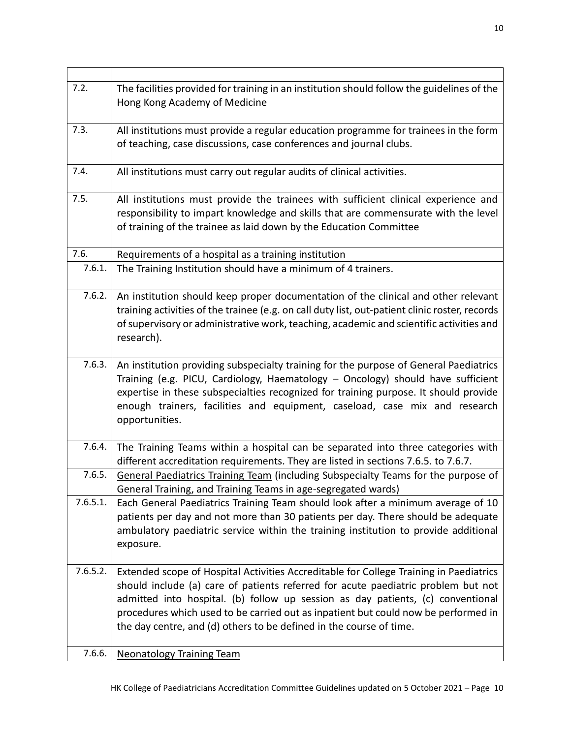| 7.2.     | The facilities provided for training in an institution should follow the guidelines of the<br>Hong Kong Academy of Medicine                                                                                                                                                                                                                                                                                                 |
|----------|-----------------------------------------------------------------------------------------------------------------------------------------------------------------------------------------------------------------------------------------------------------------------------------------------------------------------------------------------------------------------------------------------------------------------------|
| 7.3.     | All institutions must provide a regular education programme for trainees in the form<br>of teaching, case discussions, case conferences and journal clubs.                                                                                                                                                                                                                                                                  |
| 7.4.     | All institutions must carry out regular audits of clinical activities.                                                                                                                                                                                                                                                                                                                                                      |
| 7.5.     | All institutions must provide the trainees with sufficient clinical experience and<br>responsibility to impart knowledge and skills that are commensurate with the level<br>of training of the trainee as laid down by the Education Committee                                                                                                                                                                              |
| 7.6.     | Requirements of a hospital as a training institution                                                                                                                                                                                                                                                                                                                                                                        |
| 7.6.1.   | The Training Institution should have a minimum of 4 trainers.                                                                                                                                                                                                                                                                                                                                                               |
| 7.6.2.   | An institution should keep proper documentation of the clinical and other relevant<br>training activities of the trainee (e.g. on call duty list, out-patient clinic roster, records<br>of supervisory or administrative work, teaching, academic and scientific activities and<br>research).                                                                                                                               |
| 7.6.3.   | An institution providing subspecialty training for the purpose of General Paediatrics<br>Training (e.g. PICU, Cardiology, Haematology - Oncology) should have sufficient<br>expertise in these subspecialties recognized for training purpose. It should provide<br>enough trainers, facilities and equipment, caseload, case mix and research<br>opportunities.                                                            |
| 7.6.4.   | The Training Teams within a hospital can be separated into three categories with<br>different accreditation requirements. They are listed in sections 7.6.5. to 7.6.7.                                                                                                                                                                                                                                                      |
| 7.6.5.   | General Paediatrics Training Team (including Subspecialty Teams for the purpose of<br>General Training, and Training Teams in age-segregated wards)                                                                                                                                                                                                                                                                         |
| 7.6.5.1. | Each General Paediatrics Training Team should look after a minimum average of 10<br>patients per day and not more than 30 patients per day. There should be adequate<br>ambulatory paediatric service within the training institution to provide additional<br>exposure.                                                                                                                                                    |
| 7.6.5.2. | Extended scope of Hospital Activities Accreditable for College Training in Paediatrics<br>should include (a) care of patients referred for acute paediatric problem but not<br>admitted into hospital. (b) follow up session as day patients, (c) conventional<br>procedures which used to be carried out as inpatient but could now be performed in<br>the day centre, and (d) others to be defined in the course of time. |
| 7.6.6.   | <b>Neonatology Training Team</b>                                                                                                                                                                                                                                                                                                                                                                                            |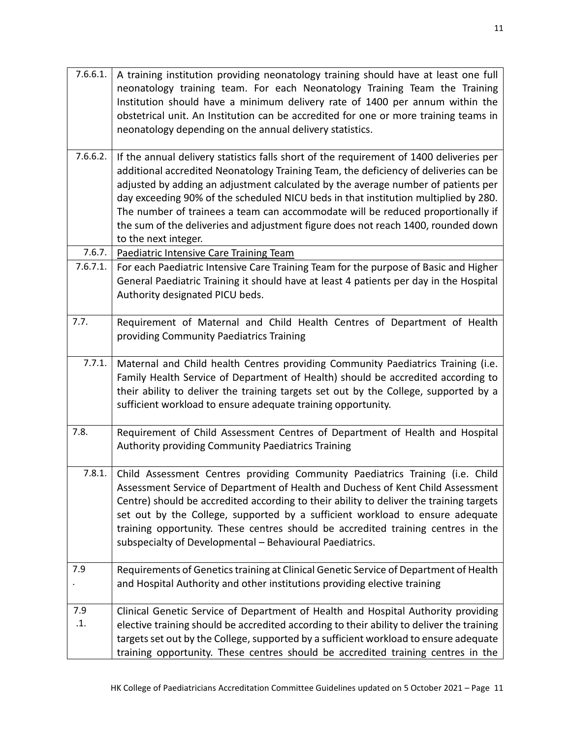| 7.6.6.1. | A training institution providing neonatology training should have at least one full<br>neonatology training team. For each Neonatology Training Team the Training<br>Institution should have a minimum delivery rate of 1400 per annum within the<br>obstetrical unit. An Institution can be accredited for one or more training teams in<br>neonatology depending on the annual delivery statistics. |
|----------|-------------------------------------------------------------------------------------------------------------------------------------------------------------------------------------------------------------------------------------------------------------------------------------------------------------------------------------------------------------------------------------------------------|
| 7.6.6.2. | If the annual delivery statistics falls short of the requirement of 1400 deliveries per                                                                                                                                                                                                                                                                                                               |
|          | additional accredited Neonatology Training Team, the deficiency of deliveries can be                                                                                                                                                                                                                                                                                                                  |
|          | adjusted by adding an adjustment calculated by the average number of patients per                                                                                                                                                                                                                                                                                                                     |
|          | day exceeding 90% of the scheduled NICU beds in that institution multiplied by 280.                                                                                                                                                                                                                                                                                                                   |
|          | The number of trainees a team can accommodate will be reduced proportionally if                                                                                                                                                                                                                                                                                                                       |
|          | the sum of the deliveries and adjustment figure does not reach 1400, rounded down                                                                                                                                                                                                                                                                                                                     |
|          | to the next integer.                                                                                                                                                                                                                                                                                                                                                                                  |
| 7.6.7.   | Paediatric Intensive Care Training Team                                                                                                                                                                                                                                                                                                                                                               |
| 7.6.7.1. | For each Paediatric Intensive Care Training Team for the purpose of Basic and Higher                                                                                                                                                                                                                                                                                                                  |
|          | General Paediatric Training it should have at least 4 patients per day in the Hospital                                                                                                                                                                                                                                                                                                                |
|          | Authority designated PICU beds.                                                                                                                                                                                                                                                                                                                                                                       |
|          |                                                                                                                                                                                                                                                                                                                                                                                                       |
| 7.7.     | Requirement of Maternal and Child Health Centres of Department of Health                                                                                                                                                                                                                                                                                                                              |
|          | providing Community Paediatrics Training                                                                                                                                                                                                                                                                                                                                                              |
| 7.7.1.   |                                                                                                                                                                                                                                                                                                                                                                                                       |
|          | Maternal and Child health Centres providing Community Paediatrics Training (i.e.<br>Family Health Service of Department of Health) should be accredited according to                                                                                                                                                                                                                                  |
|          | their ability to deliver the training targets set out by the College, supported by a                                                                                                                                                                                                                                                                                                                  |
|          | sufficient workload to ensure adequate training opportunity.                                                                                                                                                                                                                                                                                                                                          |
|          |                                                                                                                                                                                                                                                                                                                                                                                                       |
| 7.8.     | Requirement of Child Assessment Centres of Department of Health and Hospital                                                                                                                                                                                                                                                                                                                          |
|          | <b>Authority providing Community Paediatrics Training</b>                                                                                                                                                                                                                                                                                                                                             |
|          |                                                                                                                                                                                                                                                                                                                                                                                                       |
| 7.8.1.   | Child Assessment Centres providing Community Paediatrics Training (i.e. Child                                                                                                                                                                                                                                                                                                                         |
|          | Assessment Service of Department of Health and Duchess of Kent Child Assessment                                                                                                                                                                                                                                                                                                                       |
|          | Centre) should be accredited according to their ability to deliver the training targets                                                                                                                                                                                                                                                                                                               |
|          | set out by the College, supported by a sufficient workload to ensure adequate                                                                                                                                                                                                                                                                                                                         |
|          | training opportunity. These centres should be accredited training centres in the                                                                                                                                                                                                                                                                                                                      |
|          | subspecialty of Developmental - Behavioural Paediatrics.                                                                                                                                                                                                                                                                                                                                              |
|          |                                                                                                                                                                                                                                                                                                                                                                                                       |
| 7.9      | Requirements of Genetics training at Clinical Genetic Service of Department of Health                                                                                                                                                                                                                                                                                                                 |
|          | and Hospital Authority and other institutions providing elective training                                                                                                                                                                                                                                                                                                                             |
| 7.9      | Clinical Genetic Service of Department of Health and Hospital Authority providing                                                                                                                                                                                                                                                                                                                     |
| .1.      | elective training should be accredited according to their ability to deliver the training                                                                                                                                                                                                                                                                                                             |
|          | targets set out by the College, supported by a sufficient workload to ensure adequate                                                                                                                                                                                                                                                                                                                 |
|          | training opportunity. These centres should be accredited training centres in the                                                                                                                                                                                                                                                                                                                      |
|          |                                                                                                                                                                                                                                                                                                                                                                                                       |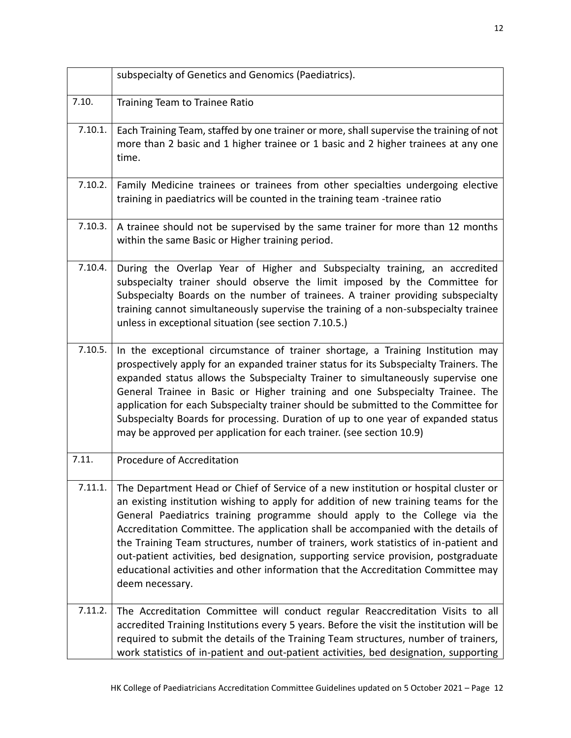|         | subspecialty of Genetics and Genomics (Paediatrics).                                                                                                                                                                                                                                                                                                                                                                                                                                                                                                                                                                                |
|---------|-------------------------------------------------------------------------------------------------------------------------------------------------------------------------------------------------------------------------------------------------------------------------------------------------------------------------------------------------------------------------------------------------------------------------------------------------------------------------------------------------------------------------------------------------------------------------------------------------------------------------------------|
| 7.10.   | Training Team to Trainee Ratio                                                                                                                                                                                                                                                                                                                                                                                                                                                                                                                                                                                                      |
| 7.10.1. | Each Training Team, staffed by one trainer or more, shall supervise the training of not<br>more than 2 basic and 1 higher trainee or 1 basic and 2 higher trainees at any one<br>time.                                                                                                                                                                                                                                                                                                                                                                                                                                              |
| 7.10.2. | Family Medicine trainees or trainees from other specialties undergoing elective<br>training in paediatrics will be counted in the training team -trainee ratio                                                                                                                                                                                                                                                                                                                                                                                                                                                                      |
| 7.10.3. | A trainee should not be supervised by the same trainer for more than 12 months<br>within the same Basic or Higher training period.                                                                                                                                                                                                                                                                                                                                                                                                                                                                                                  |
| 7.10.4. | During the Overlap Year of Higher and Subspecialty training, an accredited<br>subspecialty trainer should observe the limit imposed by the Committee for<br>Subspecialty Boards on the number of trainees. A trainer providing subspecialty<br>training cannot simultaneously supervise the training of a non-subspecialty trainee<br>unless in exceptional situation (see section 7.10.5.)                                                                                                                                                                                                                                         |
| 7.10.5. | In the exceptional circumstance of trainer shortage, a Training Institution may<br>prospectively apply for an expanded trainer status for its Subspecialty Trainers. The<br>expanded status allows the Subspecialty Trainer to simultaneously supervise one<br>General Trainee in Basic or Higher training and one Subspecialty Trainee. The<br>application for each Subspecialty trainer should be submitted to the Committee for<br>Subspecialty Boards for processing. Duration of up to one year of expanded status<br>may be approved per application for each trainer. (see section 10.9)                                     |
| 7.11.   | Procedure of Accreditation                                                                                                                                                                                                                                                                                                                                                                                                                                                                                                                                                                                                          |
| 7.11.1. | The Department Head or Chief of Service of a new institution or hospital cluster or<br>an existing institution wishing to apply for addition of new training teams for the<br>General Paediatrics training programme should apply to the College via the<br>Accreditation Committee. The application shall be accompanied with the details of<br>the Training Team structures, number of trainers, work statistics of in-patient and<br>out-patient activities, bed designation, supporting service provision, postgraduate<br>educational activities and other information that the Accreditation Committee may<br>deem necessary. |
| 7.11.2. | The Accreditation Committee will conduct regular Reaccreditation Visits to all<br>accredited Training Institutions every 5 years. Before the visit the institution will be<br>required to submit the details of the Training Team structures, number of trainers,<br>work statistics of in-patient and out-patient activities, bed designation, supporting                                                                                                                                                                                                                                                                          |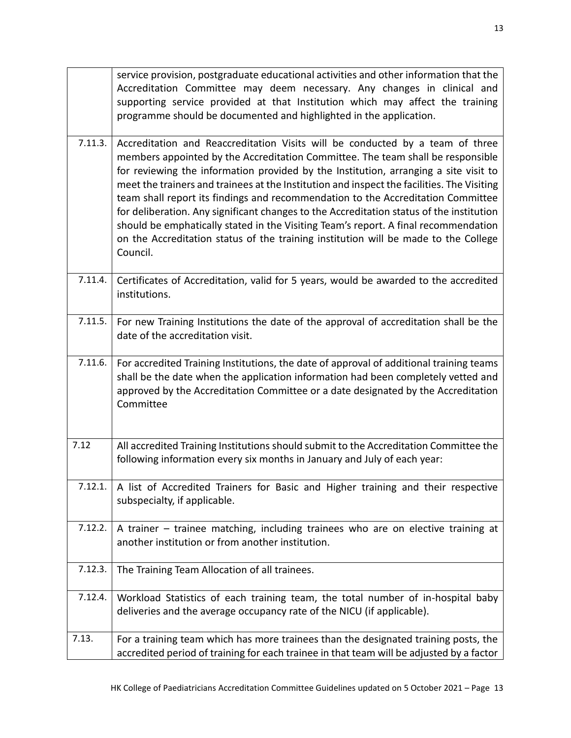|         | service provision, postgraduate educational activities and other information that the<br>Accreditation Committee may deem necessary. Any changes in clinical and<br>supporting service provided at that Institution which may affect the training<br>programme should be documented and highlighted in the application.                                                                                                                                                                                                                                                                                                                                                                                                          |
|---------|----------------------------------------------------------------------------------------------------------------------------------------------------------------------------------------------------------------------------------------------------------------------------------------------------------------------------------------------------------------------------------------------------------------------------------------------------------------------------------------------------------------------------------------------------------------------------------------------------------------------------------------------------------------------------------------------------------------------------------|
| 7.11.3. | Accreditation and Reaccreditation Visits will be conducted by a team of three<br>members appointed by the Accreditation Committee. The team shall be responsible<br>for reviewing the information provided by the Institution, arranging a site visit to<br>meet the trainers and trainees at the Institution and inspect the facilities. The Visiting<br>team shall report its findings and recommendation to the Accreditation Committee<br>for deliberation. Any significant changes to the Accreditation status of the institution<br>should be emphatically stated in the Visiting Team's report. A final recommendation<br>on the Accreditation status of the training institution will be made to the College<br>Council. |
| 7.11.4. | Certificates of Accreditation, valid for 5 years, would be awarded to the accredited<br>institutions.                                                                                                                                                                                                                                                                                                                                                                                                                                                                                                                                                                                                                            |
| 7.11.5. | For new Training Institutions the date of the approval of accreditation shall be the<br>date of the accreditation visit.                                                                                                                                                                                                                                                                                                                                                                                                                                                                                                                                                                                                         |
| 7.11.6. | For accredited Training Institutions, the date of approval of additional training teams<br>shall be the date when the application information had been completely vetted and<br>approved by the Accreditation Committee or a date designated by the Accreditation<br>Committee                                                                                                                                                                                                                                                                                                                                                                                                                                                   |
| 7.12    | All accredited Training Institutions should submit to the Accreditation Committee the<br>following information every six months in January and July of each year:                                                                                                                                                                                                                                                                                                                                                                                                                                                                                                                                                                |
| 7.12.1. | A list of Accredited Trainers for Basic and Higher training and their respective<br>subspecialty, if applicable.                                                                                                                                                                                                                                                                                                                                                                                                                                                                                                                                                                                                                 |
| 7.12.2. | A trainer – trainee matching, including trainees who are on elective training at<br>another institution or from another institution.                                                                                                                                                                                                                                                                                                                                                                                                                                                                                                                                                                                             |
| 7.12.3. | The Training Team Allocation of all trainees.                                                                                                                                                                                                                                                                                                                                                                                                                                                                                                                                                                                                                                                                                    |
| 7.12.4. | Workload Statistics of each training team, the total number of in-hospital baby<br>deliveries and the average occupancy rate of the NICU (if applicable).                                                                                                                                                                                                                                                                                                                                                                                                                                                                                                                                                                        |
| 7.13.   | For a training team which has more trainees than the designated training posts, the<br>accredited period of training for each trainee in that team will be adjusted by a factor                                                                                                                                                                                                                                                                                                                                                                                                                                                                                                                                                  |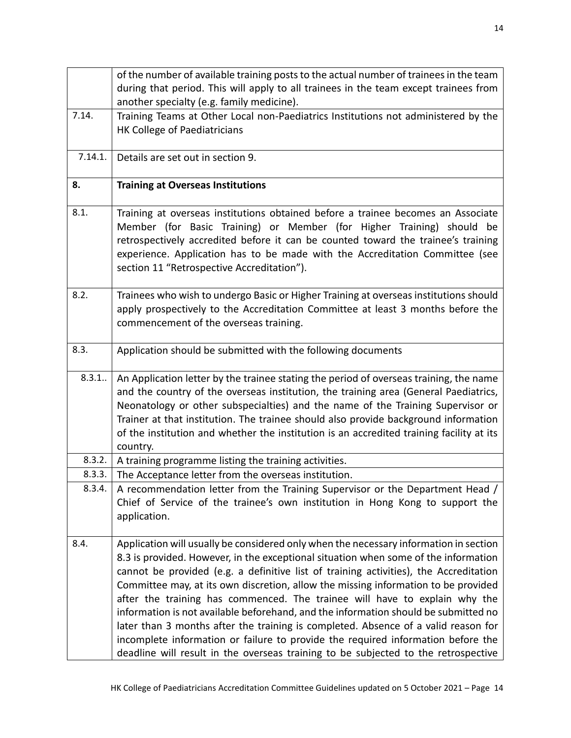|         | of the number of available training posts to the actual number of trainees in the team<br>during that period. This will apply to all trainees in the team except trainees from<br>another specialty (e.g. family medicine).                                                                                                                                                                                                                                                                                                                                                                                                                                                                                                                                                                      |
|---------|--------------------------------------------------------------------------------------------------------------------------------------------------------------------------------------------------------------------------------------------------------------------------------------------------------------------------------------------------------------------------------------------------------------------------------------------------------------------------------------------------------------------------------------------------------------------------------------------------------------------------------------------------------------------------------------------------------------------------------------------------------------------------------------------------|
| 7.14.   | Training Teams at Other Local non-Paediatrics Institutions not administered by the<br>HK College of Paediatricians                                                                                                                                                                                                                                                                                                                                                                                                                                                                                                                                                                                                                                                                               |
| 7.14.1. | Details are set out in section 9.                                                                                                                                                                                                                                                                                                                                                                                                                                                                                                                                                                                                                                                                                                                                                                |
| 8.      | <b>Training at Overseas Institutions</b>                                                                                                                                                                                                                                                                                                                                                                                                                                                                                                                                                                                                                                                                                                                                                         |
| 8.1.    | Training at overseas institutions obtained before a trainee becomes an Associate<br>Member (for Basic Training) or Member (for Higher Training) should be<br>retrospectively accredited before it can be counted toward the trainee's training<br>experience. Application has to be made with the Accreditation Committee (see<br>section 11 "Retrospective Accreditation").                                                                                                                                                                                                                                                                                                                                                                                                                     |
| 8.2.    | Trainees who wish to undergo Basic or Higher Training at overseas institutions should<br>apply prospectively to the Accreditation Committee at least 3 months before the<br>commencement of the overseas training.                                                                                                                                                                                                                                                                                                                                                                                                                                                                                                                                                                               |
| 8.3.    | Application should be submitted with the following documents                                                                                                                                                                                                                                                                                                                                                                                                                                                                                                                                                                                                                                                                                                                                     |
| 8.3.1   | An Application letter by the trainee stating the period of overseas training, the name<br>and the country of the overseas institution, the training area (General Paediatrics,<br>Neonatology or other subspecialties) and the name of the Training Supervisor or<br>Trainer at that institution. The trainee should also provide background information<br>of the institution and whether the institution is an accredited training facility at its<br>country.                                                                                                                                                                                                                                                                                                                                 |
| 8.3.2.  | A training programme listing the training activities.                                                                                                                                                                                                                                                                                                                                                                                                                                                                                                                                                                                                                                                                                                                                            |
| 8.3.3.  | The Acceptance letter from the overseas institution.                                                                                                                                                                                                                                                                                                                                                                                                                                                                                                                                                                                                                                                                                                                                             |
| 8.3.4.  | A recommendation letter from the Training Supervisor or the Department Head /<br>Chief of Service of the trainee's own institution in Hong Kong to support the<br>application.                                                                                                                                                                                                                                                                                                                                                                                                                                                                                                                                                                                                                   |
| 8.4.    | Application will usually be considered only when the necessary information in section<br>8.3 is provided. However, in the exceptional situation when some of the information<br>cannot be provided (e.g. a definitive list of training activities), the Accreditation<br>Committee may, at its own discretion, allow the missing information to be provided<br>after the training has commenced. The trainee will have to explain why the<br>information is not available beforehand, and the information should be submitted no<br>later than 3 months after the training is completed. Absence of a valid reason for<br>incomplete information or failure to provide the required information before the<br>deadline will result in the overseas training to be subjected to the retrospective |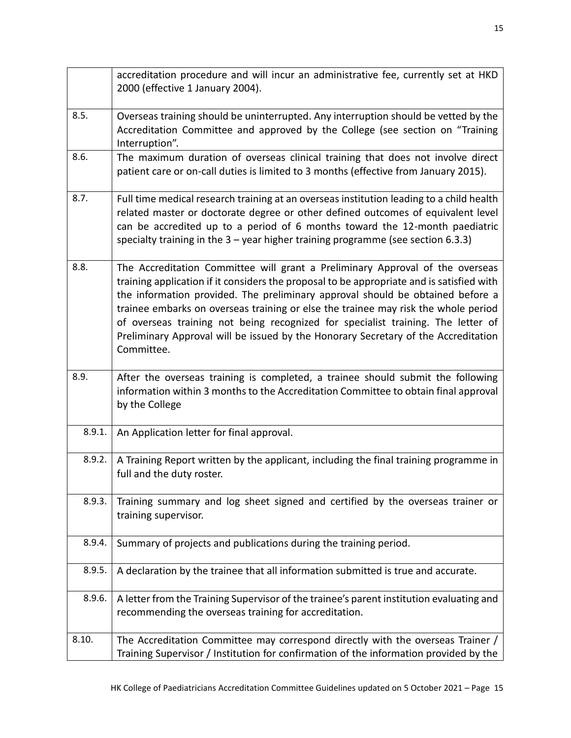|        | accreditation procedure and will incur an administrative fee, currently set at HKD<br>2000 (effective 1 January 2004).                                                                                                                                                                                                                                                                                                                                                                                                                     |
|--------|--------------------------------------------------------------------------------------------------------------------------------------------------------------------------------------------------------------------------------------------------------------------------------------------------------------------------------------------------------------------------------------------------------------------------------------------------------------------------------------------------------------------------------------------|
| 8.5.   | Overseas training should be uninterrupted. Any interruption should be vetted by the<br>Accreditation Committee and approved by the College (see section on "Training<br>Interruption".                                                                                                                                                                                                                                                                                                                                                     |
| 8.6.   | The maximum duration of overseas clinical training that does not involve direct<br>patient care or on-call duties is limited to 3 months (effective from January 2015).                                                                                                                                                                                                                                                                                                                                                                    |
| 8.7.   | Full time medical research training at an overseas institution leading to a child health<br>related master or doctorate degree or other defined outcomes of equivalent level<br>can be accredited up to a period of 6 months toward the 12-month paediatric<br>specialty training in the $3$ – year higher training programme (see section 6.3.3)                                                                                                                                                                                          |
| 8.8.   | The Accreditation Committee will grant a Preliminary Approval of the overseas<br>training application if it considers the proposal to be appropriate and is satisfied with<br>the information provided. The preliminary approval should be obtained before a<br>trainee embarks on overseas training or else the trainee may risk the whole period<br>of overseas training not being recognized for specialist training. The letter of<br>Preliminary Approval will be issued by the Honorary Secretary of the Accreditation<br>Committee. |
| 8.9.   | After the overseas training is completed, a trainee should submit the following<br>information within 3 months to the Accreditation Committee to obtain final approval<br>by the College                                                                                                                                                                                                                                                                                                                                                   |
| 8.9.1. | An Application letter for final approval.                                                                                                                                                                                                                                                                                                                                                                                                                                                                                                  |
| 8.9.2. | A Training Report written by the applicant, including the final training programme in<br>full and the duty roster.                                                                                                                                                                                                                                                                                                                                                                                                                         |
| 8.9.3. | Training summary and log sheet signed and certified by the overseas trainer or<br>training supervisor.                                                                                                                                                                                                                                                                                                                                                                                                                                     |
| 8.9.4. | Summary of projects and publications during the training period.                                                                                                                                                                                                                                                                                                                                                                                                                                                                           |
| 8.9.5. | A declaration by the trainee that all information submitted is true and accurate.                                                                                                                                                                                                                                                                                                                                                                                                                                                          |
| 8.9.6. | A letter from the Training Supervisor of the trainee's parent institution evaluating and<br>recommending the overseas training for accreditation.                                                                                                                                                                                                                                                                                                                                                                                          |
| 8.10.  | The Accreditation Committee may correspond directly with the overseas Trainer /<br>Training Supervisor / Institution for confirmation of the information provided by the                                                                                                                                                                                                                                                                                                                                                                   |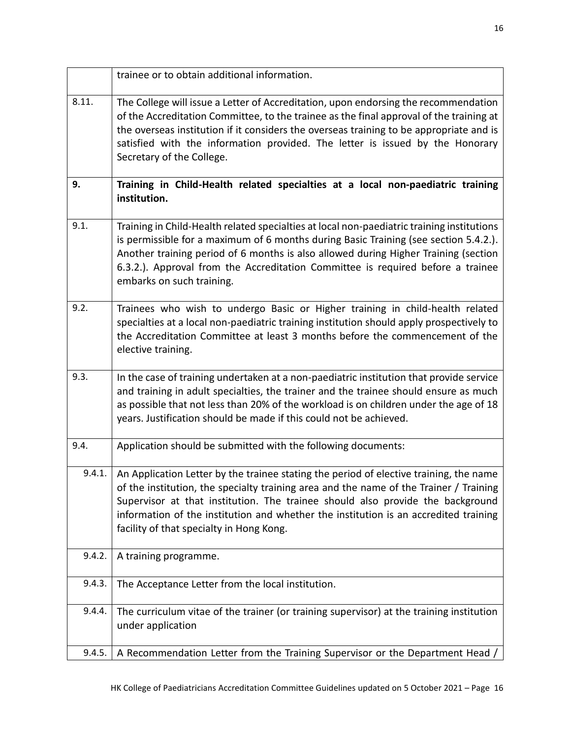|        | trainee or to obtain additional information.                                                                                                                                                                                                                                                                                                                                                           |
|--------|--------------------------------------------------------------------------------------------------------------------------------------------------------------------------------------------------------------------------------------------------------------------------------------------------------------------------------------------------------------------------------------------------------|
| 8.11.  | The College will issue a Letter of Accreditation, upon endorsing the recommendation<br>of the Accreditation Committee, to the trainee as the final approval of the training at<br>the overseas institution if it considers the overseas training to be appropriate and is<br>satisfied with the information provided. The letter is issued by the Honorary<br>Secretary of the College.                |
| 9.     | Training in Child-Health related specialties at a local non-paediatric training<br>institution.                                                                                                                                                                                                                                                                                                        |
| 9.1.   | Training in Child-Health related specialties at local non-paediatric training institutions<br>is permissible for a maximum of 6 months during Basic Training (see section 5.4.2.).<br>Another training period of 6 months is also allowed during Higher Training (section<br>6.3.2.). Approval from the Accreditation Committee is required before a trainee<br>embarks on such training.              |
| 9.2.   | Trainees who wish to undergo Basic or Higher training in child-health related<br>specialties at a local non-paediatric training institution should apply prospectively to<br>the Accreditation Committee at least 3 months before the commencement of the<br>elective training.                                                                                                                        |
| 9.3.   | In the case of training undertaken at a non-paediatric institution that provide service<br>and training in adult specialties, the trainer and the trainee should ensure as much<br>as possible that not less than 20% of the workload is on children under the age of 18<br>years. Justification should be made if this could not be achieved.                                                         |
| 9.4.   | Application should be submitted with the following documents:                                                                                                                                                                                                                                                                                                                                          |
| 9.4.1. | An Application Letter by the trainee stating the period of elective training, the name<br>of the institution, the specialty training area and the name of the Trainer / Training<br>Supervisor at that institution. The trainee should also provide the background<br>information of the institution and whether the institution is an accredited training<br>facility of that specialty in Hong Kong. |
| 9.4.2. | A training programme.                                                                                                                                                                                                                                                                                                                                                                                  |
| 9.4.3. | The Acceptance Letter from the local institution.                                                                                                                                                                                                                                                                                                                                                      |
| 9.4.4. | The curriculum vitae of the trainer (or training supervisor) at the training institution<br>under application                                                                                                                                                                                                                                                                                          |
| 9.4.5. | A Recommendation Letter from the Training Supervisor or the Department Head /                                                                                                                                                                                                                                                                                                                          |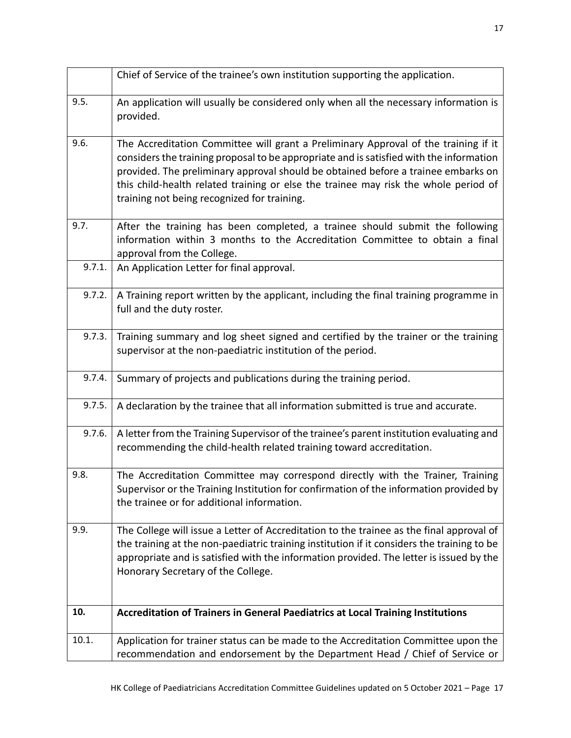|        | Chief of Service of the trainee's own institution supporting the application.                                                                                                                                                                                                                                                                                                                             |
|--------|-----------------------------------------------------------------------------------------------------------------------------------------------------------------------------------------------------------------------------------------------------------------------------------------------------------------------------------------------------------------------------------------------------------|
| 9.5.   | An application will usually be considered only when all the necessary information is<br>provided.                                                                                                                                                                                                                                                                                                         |
| 9.6.   | The Accreditation Committee will grant a Preliminary Approval of the training if it<br>considers the training proposal to be appropriate and is satisfied with the information<br>provided. The preliminary approval should be obtained before a trainee embarks on<br>this child-health related training or else the trainee may risk the whole period of<br>training not being recognized for training. |
| 9.7.   | After the training has been completed, a trainee should submit the following<br>information within 3 months to the Accreditation Committee to obtain a final<br>approval from the College.                                                                                                                                                                                                                |
| 9.7.1. | An Application Letter for final approval.                                                                                                                                                                                                                                                                                                                                                                 |
| 9.7.2. | A Training report written by the applicant, including the final training programme in<br>full and the duty roster.                                                                                                                                                                                                                                                                                        |
| 9.7.3. | Training summary and log sheet signed and certified by the trainer or the training<br>supervisor at the non-paediatric institution of the period.                                                                                                                                                                                                                                                         |
| 9.7.4. | Summary of projects and publications during the training period.                                                                                                                                                                                                                                                                                                                                          |
| 9.7.5. | A declaration by the trainee that all information submitted is true and accurate.                                                                                                                                                                                                                                                                                                                         |
| 9.7.6. | A letter from the Training Supervisor of the trainee's parent institution evaluating and<br>recommending the child-health related training toward accreditation.                                                                                                                                                                                                                                          |
| 9.8.   | The Accreditation Committee may correspond directly with the Trainer, Training<br>Supervisor or the Training Institution for confirmation of the information provided by<br>the trainee or for additional information.                                                                                                                                                                                    |
| 9.9.   | The College will issue a Letter of Accreditation to the trainee as the final approval of<br>the training at the non-paediatric training institution if it considers the training to be<br>appropriate and is satisfied with the information provided. The letter is issued by the<br>Honorary Secretary of the College.                                                                                   |
| 10.    | Accreditation of Trainers in General Paediatrics at Local Training Institutions                                                                                                                                                                                                                                                                                                                           |
| 10.1.  | Application for trainer status can be made to the Accreditation Committee upon the<br>recommendation and endorsement by the Department Head / Chief of Service or                                                                                                                                                                                                                                         |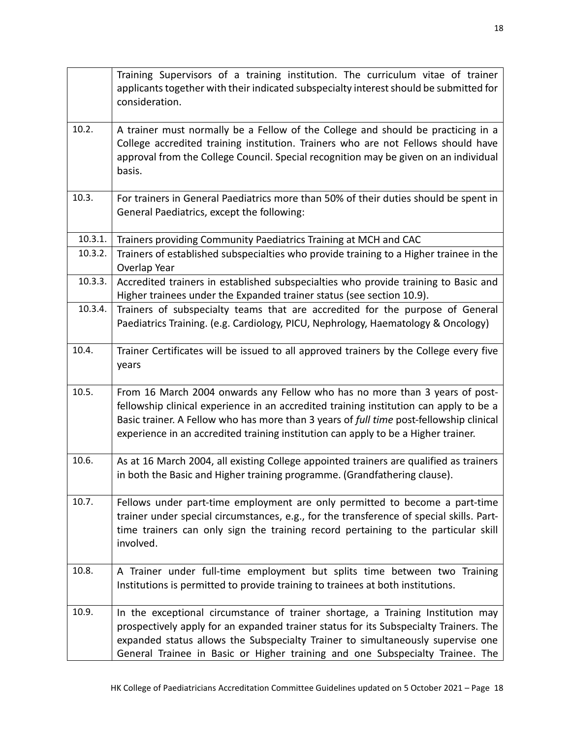|         | Training Supervisors of a training institution. The curriculum vitae of trainer<br>applicants together with their indicated subspecialty interest should be submitted for<br>consideration.                                                                                                                                                            |
|---------|--------------------------------------------------------------------------------------------------------------------------------------------------------------------------------------------------------------------------------------------------------------------------------------------------------------------------------------------------------|
| 10.2.   | A trainer must normally be a Fellow of the College and should be practicing in a<br>College accredited training institution. Trainers who are not Fellows should have<br>approval from the College Council. Special recognition may be given on an individual<br>basis.                                                                                |
| 10.3.   | For trainers in General Paediatrics more than 50% of their duties should be spent in<br>General Paediatrics, except the following:                                                                                                                                                                                                                     |
| 10.3.1. | Trainers providing Community Paediatrics Training at MCH and CAC                                                                                                                                                                                                                                                                                       |
| 10.3.2. | Trainers of established subspecialties who provide training to a Higher trainee in the<br>Overlap Year                                                                                                                                                                                                                                                 |
| 10.3.3. | Accredited trainers in established subspecialties who provide training to Basic and<br>Higher trainees under the Expanded trainer status (see section 10.9).                                                                                                                                                                                           |
| 10.3.4. | Trainers of subspecialty teams that are accredited for the purpose of General                                                                                                                                                                                                                                                                          |
|         | Paediatrics Training. (e.g. Cardiology, PICU, Nephrology, Haematology & Oncology)                                                                                                                                                                                                                                                                      |
| 10.4.   | Trainer Certificates will be issued to all approved trainers by the College every five<br>years                                                                                                                                                                                                                                                        |
| 10.5.   | From 16 March 2004 onwards any Fellow who has no more than 3 years of post-<br>fellowship clinical experience in an accredited training institution can apply to be a<br>Basic trainer. A Fellow who has more than 3 years of full time post-fellowship clinical<br>experience in an accredited training institution can apply to be a Higher trainer. |
| 10.6.   | As at 16 March 2004, all existing College appointed trainers are qualified as trainers<br>in both the Basic and Higher training programme. (Grandfathering clause).                                                                                                                                                                                    |
| 10.7.   | Fellows under part-time employment are only permitted to become a part-time<br>trainer under special circumstances, e.g., for the transference of special skills. Part-<br>time trainers can only sign the training record pertaining to the particular skill<br>involved.                                                                             |
| 10.8.   | A Trainer under full-time employment but splits time between two Training<br>Institutions is permitted to provide training to trainees at both institutions.                                                                                                                                                                                           |
| 10.9.   | In the exceptional circumstance of trainer shortage, a Training Institution may<br>prospectively apply for an expanded trainer status for its Subspecialty Trainers. The<br>expanded status allows the Subspecialty Trainer to simultaneously supervise one<br>General Trainee in Basic or Higher training and one Subspecialty Trainee. The           |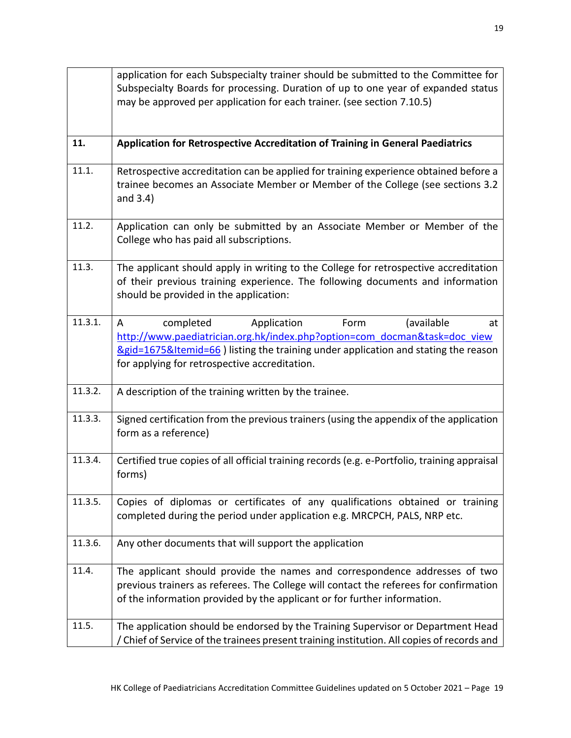|         | application for each Subspecialty trainer should be submitted to the Committee for<br>Subspecialty Boards for processing. Duration of up to one year of expanded status<br>may be approved per application for each trainer. (see section 7.10.5)                                             |
|---------|-----------------------------------------------------------------------------------------------------------------------------------------------------------------------------------------------------------------------------------------------------------------------------------------------|
| 11.     | Application for Retrospective Accreditation of Training in General Paediatrics                                                                                                                                                                                                                |
| 11.1.   | Retrospective accreditation can be applied for training experience obtained before a<br>trainee becomes an Associate Member or Member of the College (see sections 3.2<br>and $3.4$ )                                                                                                         |
| 11.2.   | Application can only be submitted by an Associate Member or Member of the<br>College who has paid all subscriptions.                                                                                                                                                                          |
| 11.3.   | The applicant should apply in writing to the College for retrospective accreditation<br>of their previous training experience. The following documents and information<br>should be provided in the application:                                                                              |
| 11.3.1. | Application<br>Form<br>(available<br>completed<br>A<br>at<br>http://www.paediatrician.org.hk/index.php?option=com docman&task=doc view<br><u>&amp;gid=1675&amp;Itemid=66</u> ) listing the training under application and stating the reason<br>for applying for retrospective accreditation. |
| 11.3.2. | A description of the training written by the trainee.                                                                                                                                                                                                                                         |
| 11.3.3. | Signed certification from the previous trainers (using the appendix of the application<br>form as a reference)                                                                                                                                                                                |
| 11.3.4. | Certified true copies of all official training records (e.g. e-Portfolio, training appraisal<br>forms)                                                                                                                                                                                        |
| 11.3.5. | Copies of diplomas or certificates of any qualifications obtained or training<br>completed during the period under application e.g. MRCPCH, PALS, NRP etc.                                                                                                                                    |
| 11.3.6. | Any other documents that will support the application                                                                                                                                                                                                                                         |
| 11.4.   | The applicant should provide the names and correspondence addresses of two<br>previous trainers as referees. The College will contact the referees for confirmation<br>of the information provided by the applicant or for further information.                                               |
| 11.5.   | The application should be endorsed by the Training Supervisor or Department Head<br>/ Chief of Service of the trainees present training institution. All copies of records and                                                                                                                |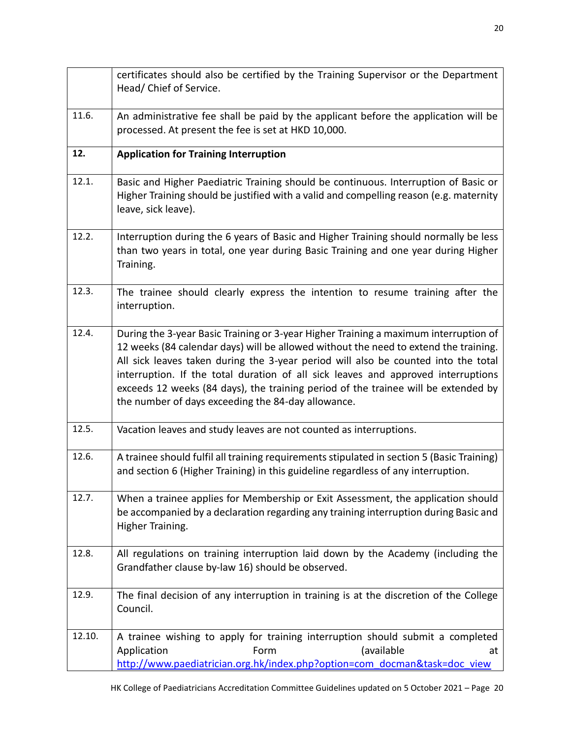|        | certificates should also be certified by the Training Supervisor or the Department<br>Head/ Chief of Service.                                                                                                                                                                                                                                                                                                                                                                                       |
|--------|-----------------------------------------------------------------------------------------------------------------------------------------------------------------------------------------------------------------------------------------------------------------------------------------------------------------------------------------------------------------------------------------------------------------------------------------------------------------------------------------------------|
| 11.6.  | An administrative fee shall be paid by the applicant before the application will be<br>processed. At present the fee is set at HKD 10,000.                                                                                                                                                                                                                                                                                                                                                          |
| 12.    | <b>Application for Training Interruption</b>                                                                                                                                                                                                                                                                                                                                                                                                                                                        |
| 12.1.  | Basic and Higher Paediatric Training should be continuous. Interruption of Basic or<br>Higher Training should be justified with a valid and compelling reason (e.g. maternity<br>leave, sick leave).                                                                                                                                                                                                                                                                                                |
| 12.2.  | Interruption during the 6 years of Basic and Higher Training should normally be less<br>than two years in total, one year during Basic Training and one year during Higher<br>Training.                                                                                                                                                                                                                                                                                                             |
| 12.3.  | The trainee should clearly express the intention to resume training after the<br>interruption.                                                                                                                                                                                                                                                                                                                                                                                                      |
| 12.4.  | During the 3-year Basic Training or 3-year Higher Training a maximum interruption of<br>12 weeks (84 calendar days) will be allowed without the need to extend the training.<br>All sick leaves taken during the 3-year period will also be counted into the total<br>interruption. If the total duration of all sick leaves and approved interruptions<br>exceeds 12 weeks (84 days), the training period of the trainee will be extended by<br>the number of days exceeding the 84-day allowance. |
| 12.5.  | Vacation leaves and study leaves are not counted as interruptions.                                                                                                                                                                                                                                                                                                                                                                                                                                  |
| 12.6.  | A trainee should fulfil all training requirements stipulated in section 5 (Basic Training)<br>and section 6 (Higher Training) in this guideline regardless of any interruption.                                                                                                                                                                                                                                                                                                                     |
| 12.7.  | When a trainee applies for Membership or Exit Assessment, the application should<br>be accompanied by a declaration regarding any training interruption during Basic and<br>Higher Training.                                                                                                                                                                                                                                                                                                        |
| 12.8.  | All regulations on training interruption laid down by the Academy (including the<br>Grandfather clause by-law 16) should be observed.                                                                                                                                                                                                                                                                                                                                                               |
| 12.9.  | The final decision of any interruption in training is at the discretion of the College<br>Council.                                                                                                                                                                                                                                                                                                                                                                                                  |
| 12.10. | A trainee wishing to apply for training interruption should submit a completed<br>Application<br>(available<br>Form<br>at<br>http://www.paediatrician.org.hk/index.php?option=com_docman&task=doc_view                                                                                                                                                                                                                                                                                              |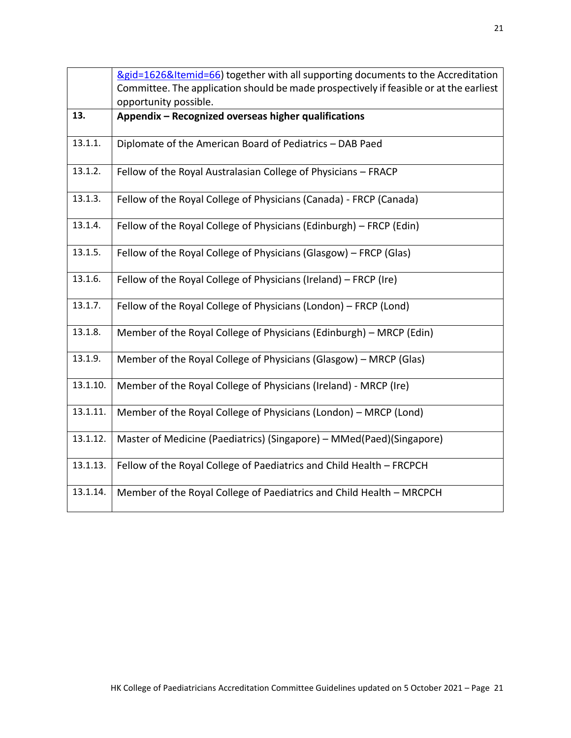|          | 8gid=1626&Itemid=66) together with all supporting documents to the Accreditation       |
|----------|----------------------------------------------------------------------------------------|
|          | Committee. The application should be made prospectively if feasible or at the earliest |
|          | opportunity possible.                                                                  |
| 13.      | Appendix - Recognized overseas higher qualifications                                   |
| 13.1.1.  | Diplomate of the American Board of Pediatrics - DAB Paed                               |
| 13.1.2.  | Fellow of the Royal Australasian College of Physicians - FRACP                         |
| 13.1.3.  | Fellow of the Royal College of Physicians (Canada) - FRCP (Canada)                     |
| 13.1.4.  | Fellow of the Royal College of Physicians (Edinburgh) - FRCP (Edin)                    |
| 13.1.5.  | Fellow of the Royal College of Physicians (Glasgow) - FRCP (Glas)                      |
| 13.1.6.  | Fellow of the Royal College of Physicians (Ireland) – FRCP (Ire)                       |
| 13.1.7.  | Fellow of the Royal College of Physicians (London) - FRCP (Lond)                       |
| 13.1.8.  | Member of the Royal College of Physicians (Edinburgh) - MRCP (Edin)                    |
| 13.1.9.  | Member of the Royal College of Physicians (Glasgow) - MRCP (Glas)                      |
| 13.1.10. | Member of the Royal College of Physicians (Ireland) - MRCP (Ire)                       |
| 13.1.11. | Member of the Royal College of Physicians (London) – MRCP (Lond)                       |
| 13.1.12. | Master of Medicine (Paediatrics) (Singapore) - MMed(Paed)(Singapore)                   |
| 13.1.13. | Fellow of the Royal College of Paediatrics and Child Health - FRCPCH                   |
| 13.1.14. | Member of the Royal College of Paediatrics and Child Health - MRCPCH                   |